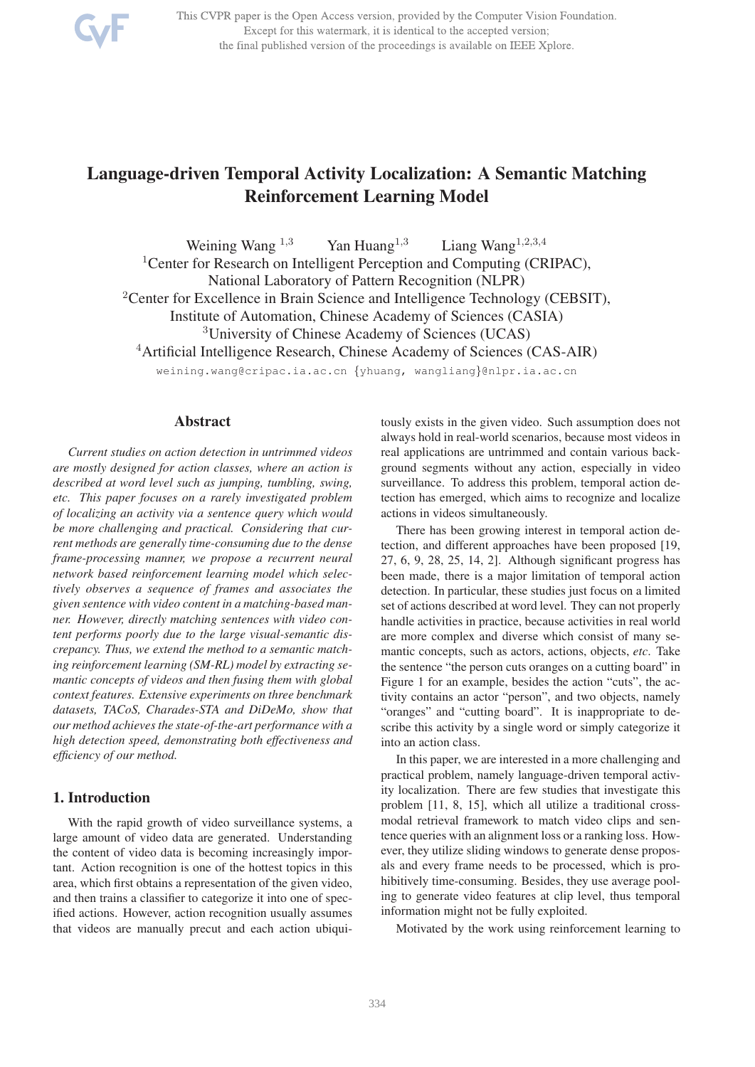

This CVPR paper is the Open Access version, provided by the Computer Vision Foundation. Except for this watermark, it is identical to the accepted version; the final published version of the proceedings is available on IEEE Xplore.

# Language-driven Temporal Activity Localization: A Semantic Matching Reinforcement Learning Model

Weining Wang  $^{1,3}$  Yan Huang  $^{1,3}$  Liang Wang  $^{1,2,3,4}$ <sup>1</sup> Center for Research on Intelligent Perception and Computing (CRIPAC), National Laboratory of Pattern Recognition (NLPR) <sup>2</sup> Center for Excellence in Brain Science and Intelligence Technology (CEBSIT), Institute of Automation, Chinese Academy of Sciences (CASIA) <sup>3</sup>University of Chinese Academy of Sciences (UCAS) <sup>4</sup>Artificial Intelligence Research, Chinese Academy of Sciences (CAS-AIR) weining.wang@cripac.ia.ac.cn {yhuang, wangliang}@nlpr.ia.ac.cn

## Abstract

*Current studies on action detection in untrimmed videos are mostly designed for action classes, where an action is described at word level such as jumping, tumbling, swing, etc. This paper focuses on a rarely investigated problem of localizing an activity via a sentence query which would be more challenging and practical. Considering that current methods are generally time-consuming due to the dense frame-processing manner, we propose a recurrent neural network based reinforcement learning model which selectively observes a sequence of frames and associates the given sentence with video content in a matching-based manner. However, directly matching sentences with video content performs poorly due to the large visual-semantic discrepancy. Thus, we extend the method to a semantic matching reinforcement learning (SM-RL) model by extracting semantic concepts of videos and then fusing them with global context features. Extensive experiments on three benchmark datasets, TACoS, Charades-STA and DiDeMo, show that our method achieves the state-of-the-art performance with a high detection speed, demonstrating both effectiveness and efficiency of our method.*

# 1. Introduction

With the rapid growth of video surveillance systems, a large amount of video data are generated. Understanding the content of video data is becoming increasingly important. Action recognition is one of the hottest topics in this area, which first obtains a representation of the given video, and then trains a classifier to categorize it into one of specified actions. However, action recognition usually assumes that videos are manually precut and each action ubiquitously exists in the given video. Such assumption does not always hold in real-world scenarios, because most videos in real applications are untrimmed and contain various background segments without any action, especially in video surveillance. To address this problem, temporal action detection has emerged, which aims to recognize and localize actions in videos simultaneously.

There has been growing interest in temporal action detection, and different approaches have been proposed [19, 27, 6, 9, 28, 25, 14, 2]. Although significant progress has been made, there is a major limitation of temporal action detection. In particular, these studies just focus on a limited set of actions described at word level. They can not properly handle activities in practice, because activities in real world are more complex and diverse which consist of many semantic concepts, such as actors, actions, objects, *etc*. Take the sentence "the person cuts oranges on a cutting board" in Figure 1 for an example, besides the action "cuts", the activity contains an actor "person", and two objects, namely "oranges" and "cutting board". It is inappropriate to describe this activity by a single word or simply categorize it into an action class.

In this paper, we are interested in a more challenging and practical problem, namely language-driven temporal activity localization. There are few studies that investigate this problem [11, 8, 15], which all utilize a traditional crossmodal retrieval framework to match video clips and sentence queries with an alignment loss or a ranking loss. However, they utilize sliding windows to generate dense proposals and every frame needs to be processed, which is prohibitively time-consuming. Besides, they use average pooling to generate video features at clip level, thus temporal information might not be fully exploited.

Motivated by the work using reinforcement learning to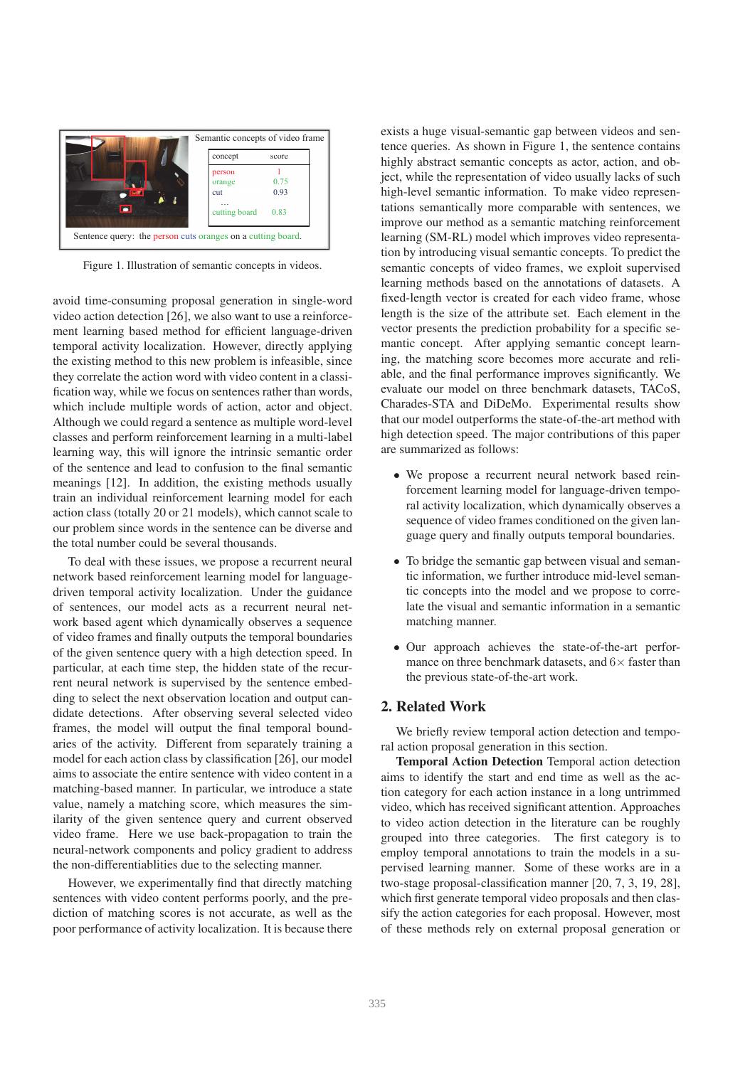

Figure 1. Illustration of semantic concepts in videos.

avoid time-consuming proposal generation in single-word video action detection [26], we also want to use a reinforcement learning based method for efficient language-driven temporal activity localization. However, directly applying the existing method to this new problem is infeasible, since they correlate the action word with video content in a classification way, while we focus on sentences rather than words, which include multiple words of action, actor and object. Although we could regard a sentence as multiple word-level classes and perform reinforcement learning in a multi-label learning way, this will ignore the intrinsic semantic order of the sentence and lead to confusion to the final semantic meanings [12]. In addition, the existing methods usually train an individual reinforcement learning model for each action class (totally 20 or 21 models), which cannot scale to our problem since words in the sentence can be diverse and the total number could be several thousands.

To deal with these issues, we propose a recurrent neural network based reinforcement learning model for languagedriven temporal activity localization. Under the guidance of sentences, our model acts as a recurrent neural network based agent which dynamically observes a sequence of video frames and finally outputs the temporal boundaries of the given sentence query with a high detection speed. In particular, at each time step, the hidden state of the recurrent neural network is supervised by the sentence embedding to select the next observation location and output candidate detections. After observing several selected video frames, the model will output the final temporal boundaries of the activity. Different from separately training a model for each action class by classification [26], our model aims to associate the entire sentence with video content in a matching-based manner. In particular, we introduce a state value, namely a matching score, which measures the similarity of the given sentence query and current observed video frame. Here we use back-propagation to train the neural-network components and policy gradient to address the non-differentiablities due to the selecting manner.

However, we experimentally find that directly matching sentences with video content performs poorly, and the prediction of matching scores is not accurate, as well as the poor performance of activity localization. It is because there

exists a huge visual-semantic gap between videos and sentence queries. As shown in Figure 1, the sentence contains highly abstract semantic concepts as actor, action, and object, while the representation of video usually lacks of such high-level semantic information. To make video representations semantically more comparable with sentences, we improve our method as a semantic matching reinforcement learning (SM-RL) model which improves video representation by introducing visual semantic concepts. To predict the semantic concepts of video frames, we exploit supervised learning methods based on the annotations of datasets. A fixed-length vector is created for each video frame, whose length is the size of the attribute set. Each element in the vector presents the prediction probability for a specific semantic concept. After applying semantic concept learning, the matching score becomes more accurate and reliable, and the final performance improves significantly. We evaluate our model on three benchmark datasets, TACoS, Charades-STA and DiDeMo. Experimental results show that our model outperforms the state-of-the-art method with high detection speed. The major contributions of this paper are summarized as follows:

- We propose a recurrent neural network based reinforcement learning model for language-driven temporal activity localization, which dynamically observes a sequence of video frames conditioned on the given language query and finally outputs temporal boundaries.
- To bridge the semantic gap between visual and semantic information, we further introduce mid-level semantic concepts into the model and we propose to correlate the visual and semantic information in a semantic matching manner.
- Our approach achieves the state-of-the-art performance on three benchmark datasets, and  $6\times$  faster than the previous state-of-the-art work.

## 2. Related Work

We briefly review temporal action detection and temporal action proposal generation in this section.

Temporal Action Detection Temporal action detection aims to identify the start and end time as well as the action category for each action instance in a long untrimmed video, which has received significant attention. Approaches to video action detection in the literature can be roughly grouped into three categories. The first category is to employ temporal annotations to train the models in a supervised learning manner. Some of these works are in a two-stage proposal-classification manner [20, 7, 3, 19, 28], which first generate temporal video proposals and then classify the action categories for each proposal. However, most of these methods rely on external proposal generation or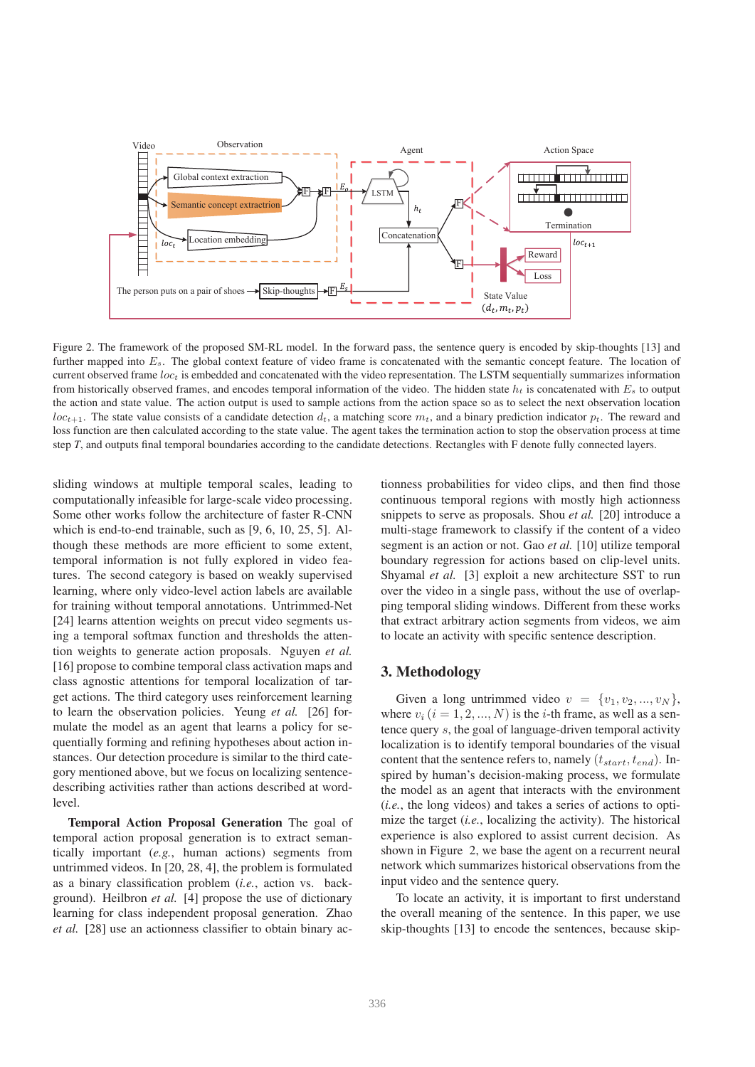

Figure 2. The framework of the proposed SM-RL model. In the forward pass, the sentence query is encoded by skip-thoughts [13] and further mapped into  $E_s$ . The global context feature of video frame is concatenated with the semantic concept feature. The location of current observed frame  $loc<sub>t</sub>$  is embedded and concatenated with the video representation. The LSTM sequentially summarizes information from historically observed frames, and encodes temporal information of the video. The hidden state  $h_t$  is concatenated with  $E_s$  to output the action and state value. The action output is used to sample actions from the action space so as to select the next observation location  $loc_{t+1}$ . The state value consists of a candidate detection  $d_t$ , a matching score  $m_t$ , and a binary prediction indicator  $p_t$ . The reward and loss function are then calculated according to the state value. The agent takes the termination action to stop the observation process at time step *T*, and outputs final temporal boundaries according to the candidate detections. Rectangles with F denote fully connected layers.

sliding windows at multiple temporal scales, leading to computationally infeasible for large-scale video processing. Some other works follow the architecture of faster R-CNN which is end-to-end trainable, such as [9, 6, 10, 25, 5]. Although these methods are more efficient to some extent, temporal information is not fully explored in video features. The second category is based on weakly supervised learning, where only video-level action labels are available for training without temporal annotations. Untrimmed-Net [24] learns attention weights on precut video segments using a temporal softmax function and thresholds the attention weights to generate action proposals. Nguyen *et al.* [16] propose to combine temporal class activation maps and class agnostic attentions for temporal localization of target actions. The third category uses reinforcement learning to learn the observation policies. Yeung *et al.* [26] formulate the model as an agent that learns a policy for sequentially forming and refining hypotheses about action instances. Our detection procedure is similar to the third category mentioned above, but we focus on localizing sentencedescribing activities rather than actions described at wordlevel.

Temporal Action Proposal Generation The goal of temporal action proposal generation is to extract semantically important (*e.g.*, human actions) segments from untrimmed videos. In [20, 28, 4], the problem is formulated as a binary classification problem (*i.e.*, action vs. background). Heilbron *et al.* [4] propose the use of dictionary learning for class independent proposal generation. Zhao *et al.* [28] use an actionness classifier to obtain binary actionness probabilities for video clips, and then find those continuous temporal regions with mostly high actionness snippets to serve as proposals. Shou *et al.* [20] introduce a multi-stage framework to classify if the content of a video segment is an action or not. Gao *et al.* [10] utilize temporal boundary regression for actions based on clip-level units. Shyamal *et al.* [3] exploit a new architecture SST to run over the video in a single pass, without the use of overlapping temporal sliding windows. Different from these works that extract arbitrary action segments from videos, we aim to locate an activity with specific sentence description.

# 3. Methodology

Given a long untrimmed video  $v = \{v_1, v_2, ..., v_N\},\$ where  $v_i$   $(i = 1, 2, ..., N)$  is the *i*-th frame, as well as a sentence query s, the goal of language-driven temporal activity localization is to identify temporal boundaries of the visual content that the sentence refers to, namely  $(t_{start}, t_{end})$ . Inspired by human's decision-making process, we formulate the model as an agent that interacts with the environment (*i.e.*, the long videos) and takes a series of actions to optimize the target (*i.e.*, localizing the activity). The historical experience is also explored to assist current decision. As shown in Figure 2, we base the agent on a recurrent neural network which summarizes historical observations from the input video and the sentence query.

To locate an activity, it is important to first understand the overall meaning of the sentence. In this paper, we use skip-thoughts [13] to encode the sentences, because skip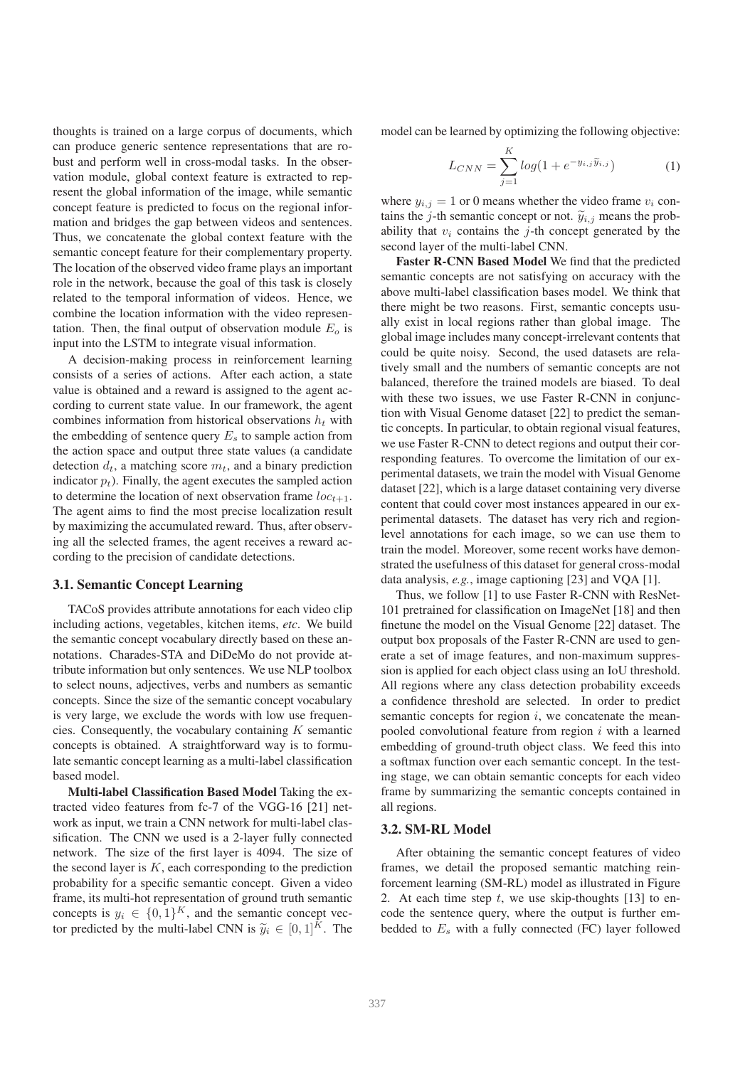thoughts is trained on a large corpus of documents, which can produce generic sentence representations that are robust and perform well in cross-modal tasks. In the observation module, global context feature is extracted to represent the global information of the image, while semantic concept feature is predicted to focus on the regional information and bridges the gap between videos and sentences. Thus, we concatenate the global context feature with the semantic concept feature for their complementary property. The location of the observed video frame plays an important role in the network, because the goal of this task is closely related to the temporal information of videos. Hence, we combine the location information with the video representation. Then, the final output of observation module  $E<sub>o</sub>$  is input into the LSTM to integrate visual information.

A decision-making process in reinforcement learning consists of a series of actions. After each action, a state value is obtained and a reward is assigned to the agent according to current state value. In our framework, the agent combines information from historical observations  $h_t$  with the embedding of sentence query  $E_s$  to sample action from the action space and output three state values (a candidate detection  $d_t$ , a matching score  $m_t$ , and a binary prediction indicator  $p_t$ ). Finally, the agent executes the sampled action to determine the location of next observation frame  $loc_{t+1}$ . The agent aims to find the most precise localization result by maximizing the accumulated reward. Thus, after observing all the selected frames, the agent receives a reward according to the precision of candidate detections.

#### 3.1. Semantic Concept Learning

TACoS provides attribute annotations for each video clip including actions, vegetables, kitchen items, *etc*. We build the semantic concept vocabulary directly based on these annotations. Charades-STA and DiDeMo do not provide attribute information but only sentences. We use NLP toolbox to select nouns, adjectives, verbs and numbers as semantic concepts. Since the size of the semantic concept vocabulary is very large, we exclude the words with low use frequencies. Consequently, the vocabulary containing  $K$  semantic concepts is obtained. A straightforward way is to formulate semantic concept learning as a multi-label classification based model.

Multi-label Classification Based Model Taking the extracted video features from fc-7 of the VGG-16 [21] network as input, we train a CNN network for multi-label classification. The CNN we used is a 2-layer fully connected network. The size of the first layer is 4094. The size of the second layer is  $K$ , each corresponding to the prediction probability for a specific semantic concept. Given a video frame, its multi-hot representation of ground truth semantic concepts is  $y_i \in \{0,1\}^K$ , and the semantic concept vector predicted by the multi-label CNN is  $\widetilde{y}_i \in [0,1]^K$ . The

model can be learned by optimizing the following objective:

$$
L_{CNN} = \sum_{j=1}^{K} log(1 + e^{-y_{i,j}\tilde{y}_{i,j}})
$$
 (1)

where  $y_{i,j} = 1$  or 0 means whether the video frame  $v_i$  contains the j-th semantic concept or not.  $\widetilde{y}_{i,j}$  means the probability that  $v_i$  contains the *j*-th concept generated by the second layer of the multi-label CNN.

Faster R-CNN Based Model We find that the predicted semantic concepts are not satisfying on accuracy with the above multi-label classification bases model. We think that there might be two reasons. First, semantic concepts usually exist in local regions rather than global image. The global image includes many concept-irrelevant contents that could be quite noisy. Second, the used datasets are relatively small and the numbers of semantic concepts are not balanced, therefore the trained models are biased. To deal with these two issues, we use Faster R-CNN in conjunction with Visual Genome dataset [22] to predict the semantic concepts. In particular, to obtain regional visual features, we use Faster R-CNN to detect regions and output their corresponding features. To overcome the limitation of our experimental datasets, we train the model with Visual Genome dataset [22], which is a large dataset containing very diverse content that could cover most instances appeared in our experimental datasets. The dataset has very rich and regionlevel annotations for each image, so we can use them to train the model. Moreover, some recent works have demonstrated the usefulness of this dataset for general cross-modal data analysis, *e.g.*, image captioning [23] and VQA [1].

Thus, we follow [1] to use Faster R-CNN with ResNet-101 pretrained for classification on ImageNet [18] and then finetune the model on the Visual Genome [22] dataset. The output box proposals of the Faster R-CNN are used to generate a set of image features, and non-maximum suppression is applied for each object class using an IoU threshold. All regions where any class detection probability exceeds a confidence threshold are selected. In order to predict semantic concepts for region  $i$ , we concatenate the meanpooled convolutional feature from region  $i$  with a learned embedding of ground-truth object class. We feed this into a softmax function over each semantic concept. In the testing stage, we can obtain semantic concepts for each video frame by summarizing the semantic concepts contained in all regions.

#### 3.2. SM-RL Model

After obtaining the semantic concept features of video frames, we detail the proposed semantic matching reinforcement learning (SM-RL) model as illustrated in Figure 2. At each time step  $t$ , we use skip-thoughts [13] to encode the sentence query, where the output is further embedded to  $E<sub>s</sub>$  with a fully connected (FC) layer followed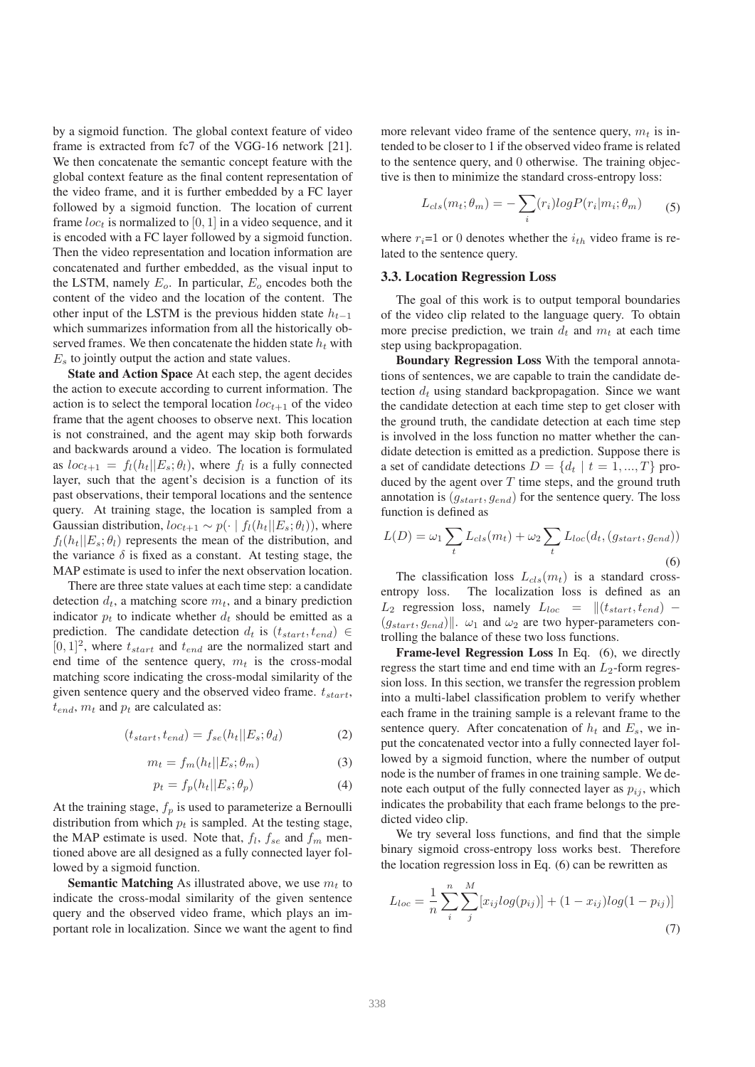by a sigmoid function. The global context feature of video frame is extracted from fc7 of the VGG-16 network [21]. We then concatenate the semantic concept feature with the global context feature as the final content representation of the video frame, and it is further embedded by a FC layer followed by a sigmoid function. The location of current frame  $loc<sub>t</sub>$  is normalized to [0, 1] in a video sequence, and it is encoded with a FC layer followed by a sigmoid function. Then the video representation and location information are concatenated and further embedded, as the visual input to the LSTM, namely  $E_o$ . In particular,  $E_o$  encodes both the content of the video and the location of the content. The other input of the LSTM is the previous hidden state  $h_{t-1}$ which summarizes information from all the historically observed frames. We then concatenate the hidden state  $h_t$  with  $E<sub>s</sub>$  to jointly output the action and state values.

State and Action Space At each step, the agent decides the action to execute according to current information. The action is to select the temporal location  $loc_{t+1}$  of the video frame that the agent chooses to observe next. This location is not constrained, and the agent may skip both forwards and backwards around a video. The location is formulated as  $loc_{t+1} = f_l(h_t || E_s; \theta_l)$ , where  $f_l$  is a fully connected layer, such that the agent's decision is a function of its past observations, their temporal locations and the sentence query. At training stage, the location is sampled from a Gaussian distribution,  $loc_{t+1} \sim p(\cdot | f_l(h_t || E_s; \theta_l))$ , where  $f_l(h_t||E_s; \theta_l)$  represents the mean of the distribution, and the variance  $\delta$  is fixed as a constant. At testing stage, the MAP estimate is used to infer the next observation location.

There are three state values at each time step: a candidate detection  $d_t$ , a matching score  $m_t$ , and a binary prediction indicator  $p_t$  to indicate whether  $d_t$  should be emitted as a prediction. The candidate detection  $d_t$  is  $(t_{start}, t_{end}) \in$  $[0, 1]^2$ , where  $t_{start}$  and  $t_{end}$  are the normalized start and end time of the sentence query,  $m_t$  is the cross-modal matching score indicating the cross-modal similarity of the given sentence query and the observed video frame.  $t_{start}$ ,  $t_{end}$ ,  $m_t$  and  $p_t$  are calculated as:

$$
(t_{start}, t_{end}) = f_{se}(h_t || E_s; \theta_d)
$$
 (2)

$$
m_t = f_m(h_t || E_s; \theta_m)
$$
 (3)

$$
p_t = f_p(h_t||E_s; \theta_p) \tag{4}
$$

At the training stage,  $f_p$  is used to parameterize a Bernoulli distribution from which  $p_t$  is sampled. At the testing stage, the MAP estimate is used. Note that,  $f_l$ ,  $f_{se}$  and  $f_m$  mentioned above are all designed as a fully connected layer followed by a sigmoid function.

**Semantic Matching** As illustrated above, we use  $m_t$  to indicate the cross-modal similarity of the given sentence query and the observed video frame, which plays an important role in localization. Since we want the agent to find

more relevant video frame of the sentence query,  $m_t$  is intended to be closer to 1 if the observed video frame is related to the sentence query, and 0 otherwise. The training objective is then to minimize the standard cross-entropy loss:

$$
L_{cls}(m_t; \theta_m) = -\sum_i (r_i)logP(r_i|m_i; \theta_m)
$$
 (5)

where  $r_i=1$  or 0 denotes whether the  $i_{th}$  video frame is related to the sentence query.

#### 3.3. Location Regression Loss

The goal of this work is to output temporal boundaries of the video clip related to the language query. To obtain more precise prediction, we train  $d_t$  and  $m_t$  at each time step using backpropagation.

Boundary Regression Loss With the temporal annotations of sentences, we are capable to train the candidate detection  $d_t$  using standard backpropagation. Since we want the candidate detection at each time step to get closer with the ground truth, the candidate detection at each time step is involved in the loss function no matter whether the candidate detection is emitted as a prediction. Suppose there is a set of candidate detections  $D = \{d_t | t = 1, ..., T\}$  produced by the agent over  $T$  time steps, and the ground truth annotation is  $(g_{start}, g_{end})$  for the sentence query. The loss function is defined as

$$
L(D) = \omega_1 \sum_t L_{cls}(m_t) + \omega_2 \sum_t L_{loc}(d_t, (g_{start}, g_{end}))
$$
\n(6)

The classification loss  $L_{cls}(m_t)$  is a standard crossentropy loss. The localization loss is defined as an  $L_2$  regression loss, namely  $L_{loc} = ||(t_{start}, t_{end}) (g_{start}, g_{end})$ .  $\omega_1$  and  $\omega_2$  are two hyper-parameters controlling the balance of these two loss functions.

Frame-level Regression Loss In Eq. (6), we directly regress the start time and end time with an  $L_2$ -form regression loss. In this section, we transfer the regression problem into a multi-label classification problem to verify whether each frame in the training sample is a relevant frame to the sentence query. After concatenation of  $h_t$  and  $E_s$ , we input the concatenated vector into a fully connected layer followed by a sigmoid function, where the number of output node is the number of frames in one training sample. We denote each output of the fully connected layer as  $p_{ij}$ , which indicates the probability that each frame belongs to the predicted video clip.

We try several loss functions, and find that the simple binary sigmoid cross-entropy loss works best. Therefore the location regression loss in Eq. (6) can be rewritten as

$$
L_{loc} = \frac{1}{n} \sum_{i}^{n} \sum_{j}^{M} [x_{ij} log(p_{ij})] + (1 - x_{ij}) log(1 - p_{ij})]
$$
\n(7)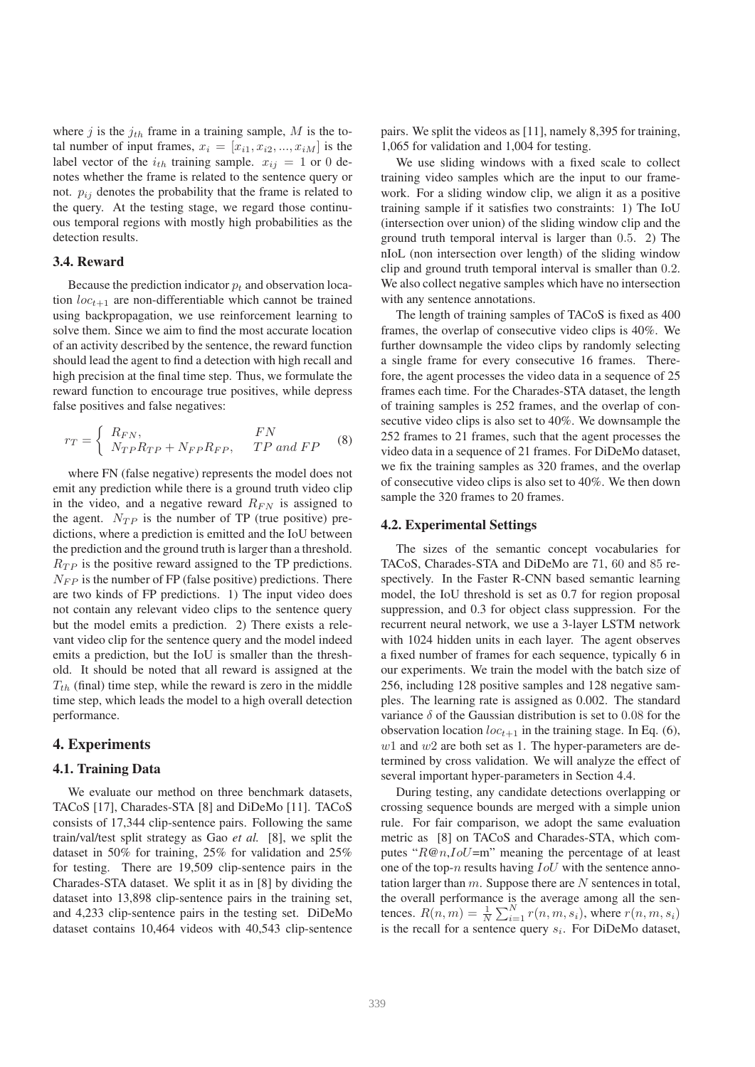where j is the  $j_{th}$  frame in a training sample, M is the total number of input frames,  $x_i = [x_{i1}, x_{i2}, ..., x_{iM}]$  is the label vector of the  $i_{th}$  training sample.  $x_{ij} = 1$  or 0 denotes whether the frame is related to the sentence query or not.  $p_{ij}$  denotes the probability that the frame is related to the query. At the testing stage, we regard those continuous temporal regions with mostly high probabilities as the detection results.

#### 3.4. Reward

Because the prediction indicator  $p_t$  and observation location  $loc_{t+1}$  are non-differentiable which cannot be trained using backpropagation, we use reinforcement learning to solve them. Since we aim to find the most accurate location of an activity described by the sentence, the reward function should lead the agent to find a detection with high recall and high precision at the final time step. Thus, we formulate the reward function to encourage true positives, while depress false positives and false negatives:

$$
r_T = \begin{cases} R_{FN}, & FN\\ N_{TP}R_{TP} + N_{FP}R_{FP}, & TP \text{ and } FP \end{cases}
$$
 (8)

where FN (false negative) represents the model does not emit any prediction while there is a ground truth video clip in the video, and a negative reward  $R_{FN}$  is assigned to the agent.  $N_{TP}$  is the number of TP (true positive) predictions, where a prediction is emitted and the IoU between the prediction and the ground truth is larger than a threshold.  $R_{TP}$  is the positive reward assigned to the TP predictions.  $N_{FP}$  is the number of FP (false positive) predictions. There are two kinds of FP predictions. 1) The input video does not contain any relevant video clips to the sentence query but the model emits a prediction. 2) There exists a relevant video clip for the sentence query and the model indeed emits a prediction, but the IoU is smaller than the threshold. It should be noted that all reward is assigned at the  $T_{th}$  (final) time step, while the reward is zero in the middle time step, which leads the model to a high overall detection performance.

## 4. Experiments

## 4.1. Training Data

We evaluate our method on three benchmark datasets, TACoS [17], Charades-STA [8] and DiDeMo [11]. TACoS consists of 17,344 clip-sentence pairs. Following the same train/val/test split strategy as Gao *et al.* [8], we split the dataset in 50% for training, 25% for validation and 25% for testing. There are 19,509 clip-sentence pairs in the Charades-STA dataset. We split it as in [8] by dividing the dataset into 13,898 clip-sentence pairs in the training set, and 4,233 clip-sentence pairs in the testing set. DiDeMo dataset contains 10,464 videos with 40,543 clip-sentence pairs. We split the videos as [11], namely 8,395 for training, 1,065 for validation and 1,004 for testing.

We use sliding windows with a fixed scale to collect training video samples which are the input to our framework. For a sliding window clip, we align it as a positive training sample if it satisfies two constraints: 1) The IoU (intersection over union) of the sliding window clip and the ground truth temporal interval is larger than 0.5. 2) The nIoL (non intersection over length) of the sliding window clip and ground truth temporal interval is smaller than 0.2. We also collect negative samples which have no intersection with any sentence annotations.

The length of training samples of TACoS is fixed as 400 frames, the overlap of consecutive video clips is 40%. We further downsample the video clips by randomly selecting a single frame for every consecutive 16 frames. Therefore, the agent processes the video data in a sequence of 25 frames each time. For the Charades-STA dataset, the length of training samples is 252 frames, and the overlap of consecutive video clips is also set to 40%. We downsample the 252 frames to 21 frames, such that the agent processes the video data in a sequence of 21 frames. For DiDeMo dataset, we fix the training samples as 320 frames, and the overlap of consecutive video clips is also set to 40%. We then down sample the 320 frames to 20 frames.

#### 4.2. Experimental Settings

The sizes of the semantic concept vocabularies for TACoS, Charades-STA and DiDeMo are 71, 60 and 85 respectively. In the Faster R-CNN based semantic learning model, the IoU threshold is set as 0.7 for region proposal suppression, and 0.3 for object class suppression. For the recurrent neural network, we use a 3-layer LSTM network with 1024 hidden units in each layer. The agent observes a fixed number of frames for each sequence, typically 6 in our experiments. We train the model with the batch size of 256, including 128 positive samples and 128 negative samples. The learning rate is assigned as 0.002. The standard variance  $\delta$  of the Gaussian distribution is set to 0.08 for the observation location  $loc_{t+1}$  in the training stage. In Eq. (6),  $w1$  and  $w2$  are both set as 1. The hyper-parameters are determined by cross validation. We will analyze the effect of several important hyper-parameters in Section 4.4.

During testing, any candidate detections overlapping or crossing sequence bounds are merged with a simple union rule. For fair comparison, we adopt the same evaluation metric as [8] on TACoS and Charades-STA, which computes " $R@n, IoU=$ m" meaning the percentage of at least one of the top-n results having  $IoU$  with the sentence annotation larger than  $m$ . Suppose there are  $N$  sentences in total, the overall performance is the average among all the sentences.  $R(n, m) = \frac{1}{N} \sum_{i=1}^{N} r(n, m, s_i)$ , where  $r(n, m, s_i)$ is the recall for a sentence query  $s_i$ . For DiDeMo dataset,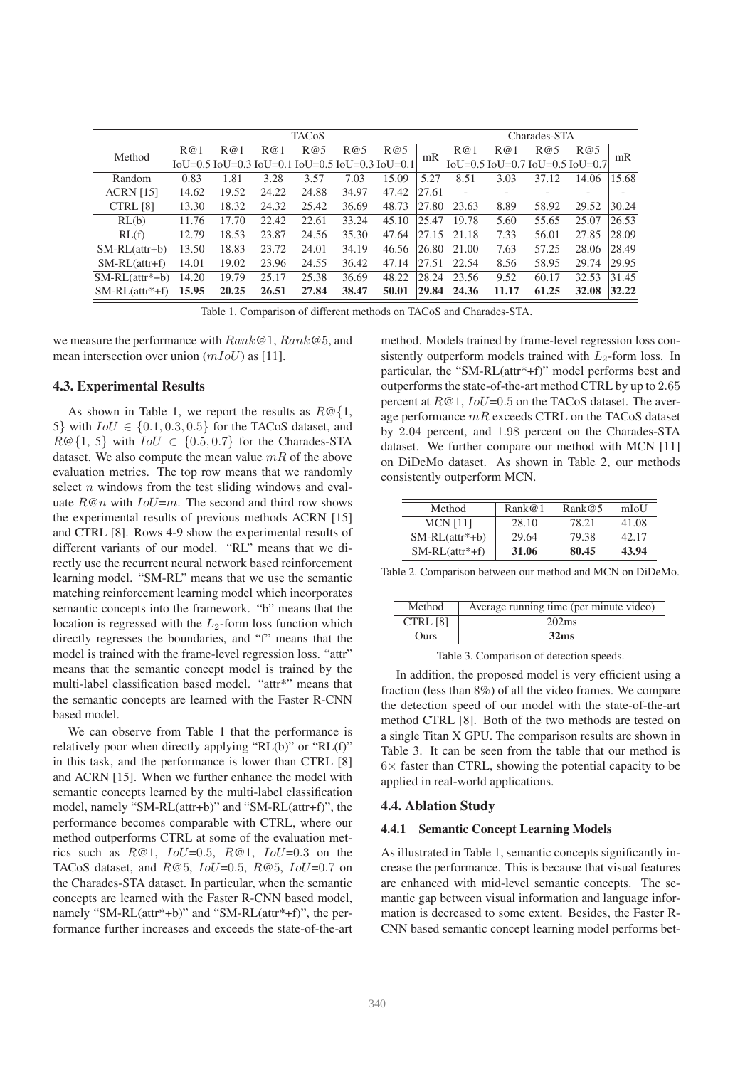|                  | <b>TACoS</b> |       |       |       |                                                     |       | Charades-STA |       |       |       |                                                                          |       |
|------------------|--------------|-------|-------|-------|-----------------------------------------------------|-------|--------------|-------|-------|-------|--------------------------------------------------------------------------|-------|
| Method           | R@1          | R@1   | R@1   | R@5   | R@5                                                 | R@5   | mR           | R@1   | R@1   | R@5   | R@5                                                                      | mR    |
|                  |              |       |       |       | [[oU=0.5] IoU=0.3] IoU=0.1] IoU=0.5 IoU=0.3 IoU=0.1 |       |              |       |       |       | $\text{IoU} = 0.5 \text{ IoU} = 0.7 \text{ IoU} = 0.5 \text{ IoU} = 0.7$ |       |
| Random           | 0.83         | 1.81  | 3.28  | 3.57  | 7.03                                                | 15.09 | 5.27         | 8.51  | 3.03  | 37.12 | 14.06                                                                    | 15.68 |
| <b>ACRN</b> [15] | 14.62        | 19.52 | 24.22 | 24.88 | 34.97                                               | 47.42 | 27.61        |       |       |       |                                                                          |       |
| CTRL [8]         | 13.30        | 18.32 | 24.32 | 25.42 | 36.69                                               | 48.73 | 27.80        | 23.63 | 8.89  | 58.92 | 29.52                                                                    | 30.24 |
| RL(b)            | 11.76        | 17.70 | 22.42 | 22.61 | 33.24                                               | 45.10 | 25.47        | 19.78 | 5.60  | 55.65 | 25.07                                                                    | 26.53 |
| RL(f)            | 12.79        | 18.53 | 23.87 | 24.56 | 35.30                                               | 47.64 | 27.15        | 21.18 | 7.33  | 56.01 | 27.85                                                                    | 28.09 |
| $SM-RL(a^t + b)$ | 13.50        | 18.83 | 23.72 | 24.01 | 34.19                                               | 46.56 | 26.80        | 21.00 | 7.63  | 57.25 | 28.06                                                                    | 28.49 |
| $SM-RL(attr+f)$  | 14.01        | 19.02 | 23.96 | 24.55 | 36.42                                               | 47.14 | 27.51        | 22.54 | 8.56  | 58.95 | 29.74                                                                    | 29.95 |
| $SM-RL(a^*+b)$   | 14.20        | 19.79 | 25.17 | 25.38 | 36.69                                               | 48.22 | 28.24        | 23.56 | 9.52  | 60.17 | 32.53                                                                    | 31.45 |
| $SM-RL(a^*+f)$   | 15.95        | 20.25 | 26.51 | 27.84 | 38.47                                               | 50.01 | 29.84        | 24.36 | 11.17 | 61.25 | 32.08                                                                    | 32.22 |

Table 1. Comparison of different methods on TACoS and Charades-STA.

we measure the performance with  $Rank@1, Rank@5$ , and mean intersection over union  $(mIoU)$  as [11].

#### 4.3. Experimental Results

As shown in Table 1, we report the results as  $R@{1,}$ 5} with  $IoU \in \{0.1, 0.3, 0.5\}$  for the TACoS dataset, and  $R@{1, 5}$  with  $IoU \in \{0.5, 0.7\}$  for the Charades-STA dataset. We also compute the mean value  $mR$  of the above evaluation metrics. The top row means that we randomly select  $n$  windows from the test sliding windows and evaluate  $R@n$  with  $IoU=m$ . The second and third row shows the experimental results of previous methods ACRN [15] and CTRL [8]. Rows 4-9 show the experimental results of different variants of our model. "RL" means that we directly use the recurrent neural network based reinforcement learning model. "SM-RL" means that we use the semantic matching reinforcement learning model which incorporates semantic concepts into the framework. "b" means that the location is regressed with the  $L_2$ -form loss function which directly regresses the boundaries, and "f" means that the model is trained with the frame-level regression loss. "attr" means that the semantic concept model is trained by the multi-label classification based model. "attr\*" means that the semantic concepts are learned with the Faster R-CNN based model.

We can observe from Table 1 that the performance is relatively poor when directly applying "RL(b)" or "RL(f)" in this task, and the performance is lower than CTRL [8] and ACRN [15]. When we further enhance the model with semantic concepts learned by the multi-label classification model, namely "SM-RL(attr+b)" and "SM-RL(attr+f)", the performance becomes comparable with CTRL, where our method outperforms CTRL at some of the evaluation metrics such as  $R@1$ ,  $IoU=0.5$ ,  $R@1$ ,  $IoU=0.3$  on the TACoS dataset, and  $R@5$ ,  $IoU=0.5$ ,  $R@5$ ,  $IoU=0.7$  on the Charades-STA dataset. In particular, when the semantic concepts are learned with the Faster R-CNN based model, namely "SM-RL(attr\*+b)" and "SM-RL(attr\*+f)", the performance further increases and exceeds the state-of-the-art method. Models trained by frame-level regression loss consistently outperform models trained with  $L_2$ -form loss. In particular, the "SM-RL(attr\*+f)" model performs best and outperforms the state-of-the-art method CTRL by up to 2.65 percent at  $R@1$ ,  $IoU=0.5$  on the TACoS dataset. The average performance  $mR$  exceeds CTRL on the TACoS dataset by 2.04 percent, and 1.98 percent on the Charades-STA dataset. We further compare our method with MCN [11] on DiDeMo dataset. As shown in Table 2, our methods consistently outperform MCN.

| Method           | Rank@1 | Rank@5 | mIoU  |
|------------------|--------|--------|-------|
| $MCN$ [11]       | 28.10  | 78.21  | 41.08 |
| $SM-RL(a^*+b)$   | 29.64  | 79.38  | 42.17 |
| $SM-RL(attr*+f)$ | 31.06  | 80.45  | 43.94 |

Table 2. Comparison between our method and MCN on DiDeMo.

| Method   | Average running time (per minute video) |
|----------|-----------------------------------------|
| CTRL [8] | 202ms                                   |
| Ours     | 32 <sub>ms</sub>                        |

Table 3. Comparison of detection speeds.

In addition, the proposed model is very efficient using a fraction (less than 8%) of all the video frames. We compare the detection speed of our model with the state-of-the-art method CTRL [8]. Both of the two methods are tested on a single Titan X GPU. The comparison results are shown in Table 3. It can be seen from the table that our method is  $6\times$  faster than CTRL, showing the potential capacity to be applied in real-world applications.

#### 4.4. Ablation Study

#### 4.4.1 Semantic Concept Learning Models

As illustrated in Table 1, semantic concepts significantly increase the performance. This is because that visual features are enhanced with mid-level semantic concepts. The semantic gap between visual information and language information is decreased to some extent. Besides, the Faster R-CNN based semantic concept learning model performs bet-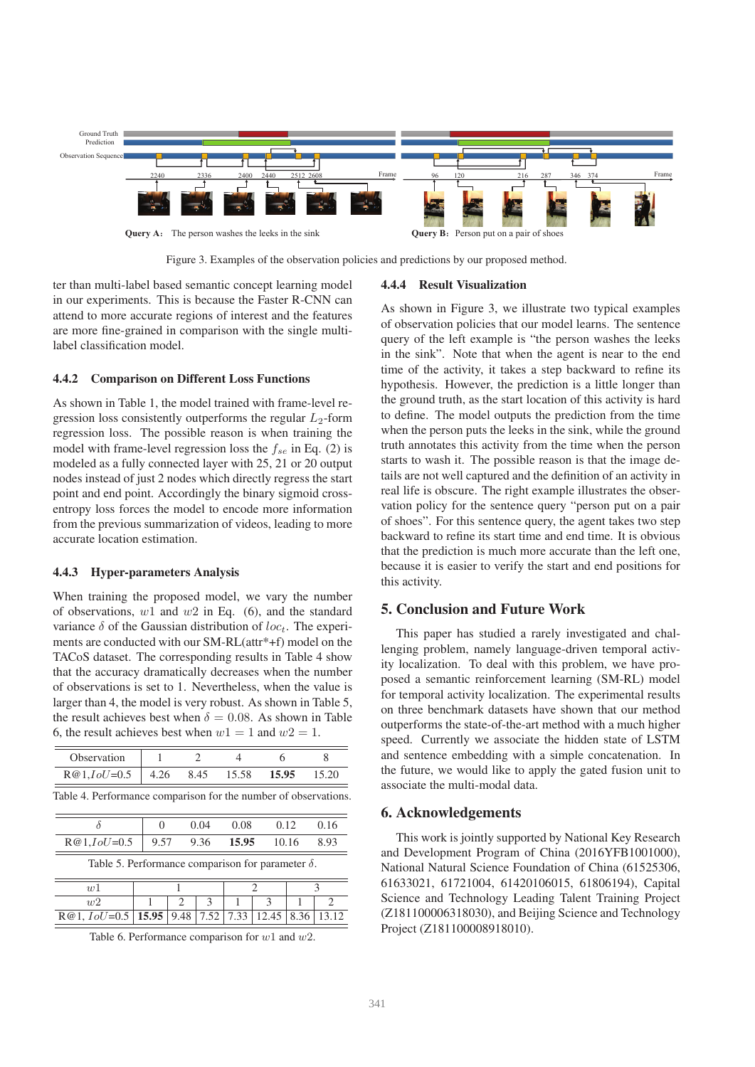

Figure 3. Examples of the observation policies and predictions by our proposed method.

ter than multi-label based semantic concept learning model in our experiments. This is because the Faster R-CNN can attend to more accurate regions of interest and the features are more fine-grained in comparison with the single multilabel classification model.

## 4.4.2 Comparison on Different Loss Functions

As shown in Table 1, the model trained with frame-level regression loss consistently outperforms the regular  $L_2$ -form regression loss. The possible reason is when training the model with frame-level regression loss the  $f_{se}$  in Eq. (2) is modeled as a fully connected layer with 25, 21 or 20 output nodes instead of just 2 nodes which directly regress the start point and end point. Accordingly the binary sigmoid crossentropy loss forces the model to encode more information from the previous summarization of videos, leading to more accurate location estimation.

#### 4.4.3 Hyper-parameters Analysis

When training the proposed model, we vary the number of observations,  $w1$  and  $w2$  in Eq. (6), and the standard variance  $\delta$  of the Gaussian distribution of loc<sub>t</sub>. The experiments are conducted with our SM-RL(attr\*+f) model on the TACoS dataset. The corresponding results in Table 4 show that the accuracy dramatically decreases when the number of observations is set to 1. Nevertheless, when the value is larger than 4, the model is very robust. As shown in Table 5, the result achieves best when  $\delta = 0.08$ . As shown in Table 6, the result achieves best when  $w1=1$  and  $w2=1$ .

| Observation                                                     |       | $\mathcal{D}_{\mathcal{A}}$ |               | 4     | 6             |       | 8                           |  |
|-----------------------------------------------------------------|-------|-----------------------------|---------------|-------|---------------|-------|-----------------------------|--|
| $R@1, IoU=0.5$                                                  | 4.26  |                             | 8.45          | 15.58 | 15.95         |       | 15.20                       |  |
| Table 4. Performance comparison for the number of observations. |       |                             |               |       |               |       |                             |  |
| δ                                                               | 0     | 0.04                        |               | 0.08  | 0.12          | 0.16  |                             |  |
| $R@1, IoU=0.5$                                                  | 9.57  |                             | 9.36          | 15.95 |               | 10.16 |                             |  |
| Table 5. Performance comparison for parameter $\delta$ .        |       |                             |               |       |               |       |                             |  |
| w <sup>1</sup>                                                  |       |                             |               |       | $\mathcal{D}$ | κ     |                             |  |
| w2                                                              |       | $\mathcal{D}_{\mathcal{L}}$ | $\mathcal{R}$ | 1     | $\mathcal{R}$ |       | $\mathcal{D}_{\mathcal{A}}$ |  |
| $R@1, IoU=0.5$                                                  | 15.95 | 9.48                        | 7.52          | 7.33  | 12.45         | 8.36  | 13.12                       |  |

Table 6. Performance comparison for  $w1$  and  $w2$ .

#### 4.4.4 Result Visualization

As shown in Figure 3, we illustrate two typical examples of observation policies that our model learns. The sentence query of the left example is "the person washes the leeks in the sink". Note that when the agent is near to the end time of the activity, it takes a step backward to refine its hypothesis. However, the prediction is a little longer than the ground truth, as the start location of this activity is hard to define. The model outputs the prediction from the time when the person puts the leeks in the sink, while the ground truth annotates this activity from the time when the person starts to wash it. The possible reason is that the image details are not well captured and the definition of an activity in real life is obscure. The right example illustrates the observation policy for the sentence query "person put on a pair of shoes". For this sentence query, the agent takes two step backward to refine its start time and end time. It is obvious that the prediction is much more accurate than the left one, because it is easier to verify the start and end positions for this activity.

# 5. Conclusion and Future Work

This paper has studied a rarely investigated and challenging problem, namely language-driven temporal activity localization. To deal with this problem, we have proposed a semantic reinforcement learning (SM-RL) model for temporal activity localization. The experimental results on three benchmark datasets have shown that our method outperforms the state-of-the-art method with a much higher speed. Currently we associate the hidden state of LSTM and sentence embedding with a simple concatenation. In the future, we would like to apply the gated fusion unit to associate the multi-modal data.

### 6. Acknowledgements

This work is jointly supported by National Key Research and Development Program of China (2016YFB1001000), National Natural Science Foundation of China (61525306, 61633021, 61721004, 61420106015, 61806194), Capital Science and Technology Leading Talent Training Project (Z181100006318030), and Beijing Science and Technology Project (Z181100008918010).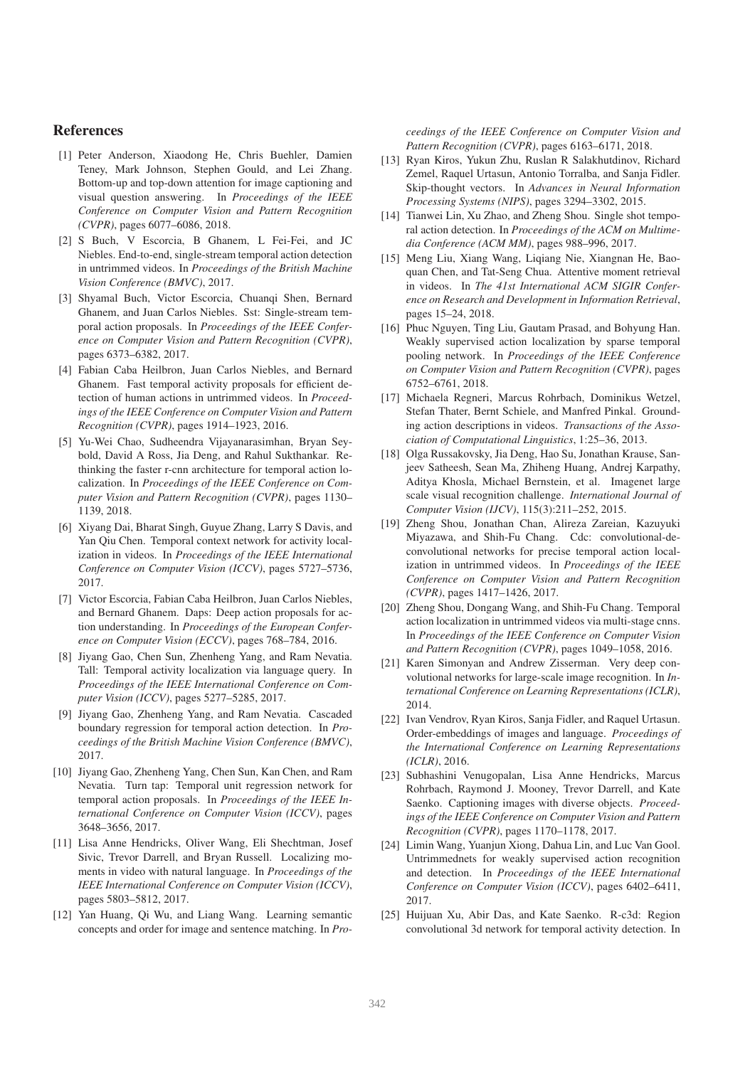## References

- [1] Peter Anderson, Xiaodong He, Chris Buehler, Damien Teney, Mark Johnson, Stephen Gould, and Lei Zhang. Bottom-up and top-down attention for image captioning and visual question answering. In *Proceedings of the IEEE Conference on Computer Vision and Pattern Recognition (CVPR)*, pages 6077–6086, 2018.
- [2] S Buch, V Escorcia, B Ghanem, L Fei-Fei, and JC Niebles. End-to-end, single-stream temporal action detection in untrimmed videos. In *Proceedings of the British Machine Vision Conference (BMVC)*, 2017.
- [3] Shyamal Buch, Victor Escorcia, Chuanqi Shen, Bernard Ghanem, and Juan Carlos Niebles. Sst: Single-stream temporal action proposals. In *Proceedings of the IEEE Conference on Computer Vision and Pattern Recognition (CVPR)*, pages 6373–6382, 2017.
- [4] Fabian Caba Heilbron, Juan Carlos Niebles, and Bernard Ghanem. Fast temporal activity proposals for efficient detection of human actions in untrimmed videos. In *Proceedings of the IEEE Conference on Computer Vision and Pattern Recognition (CVPR)*, pages 1914–1923, 2016.
- [5] Yu-Wei Chao, Sudheendra Vijayanarasimhan, Bryan Seybold, David A Ross, Jia Deng, and Rahul Sukthankar. Rethinking the faster r-cnn architecture for temporal action localization. In *Proceedings of the IEEE Conference on Computer Vision and Pattern Recognition (CVPR)*, pages 1130– 1139, 2018.
- [6] Xiyang Dai, Bharat Singh, Guyue Zhang, Larry S Davis, and Yan Qiu Chen. Temporal context network for activity localization in videos. In *Proceedings of the IEEE International Conference on Computer Vision (ICCV)*, pages 5727–5736, 2017.
- [7] Victor Escorcia, Fabian Caba Heilbron, Juan Carlos Niebles, and Bernard Ghanem. Daps: Deep action proposals for action understanding. In *Proceedings of the European Conference on Computer Vision (ECCV)*, pages 768–784, 2016.
- [8] Jiyang Gao, Chen Sun, Zhenheng Yang, and Ram Nevatia. Tall: Temporal activity localization via language query. In *Proceedings of the IEEE International Conference on Computer Vision (ICCV)*, pages 5277–5285, 2017.
- [9] Jiyang Gao, Zhenheng Yang, and Ram Nevatia. Cascaded boundary regression for temporal action detection. In *Proceedings of the British Machine Vision Conference (BMVC)*, 2017.
- [10] Jiyang Gao, Zhenheng Yang, Chen Sun, Kan Chen, and Ram Nevatia. Turn tap: Temporal unit regression network for temporal action proposals. In *Proceedings of the IEEE International Conference on Computer Vision (ICCV)*, pages 3648–3656, 2017.
- [11] Lisa Anne Hendricks, Oliver Wang, Eli Shechtman, Josef Sivic, Trevor Darrell, and Bryan Russell. Localizing moments in video with natural language. In *Proceedings of the IEEE International Conference on Computer Vision (ICCV)*, pages 5803–5812, 2017.
- [12] Yan Huang, Qi Wu, and Liang Wang. Learning semantic concepts and order for image and sentence matching. In *Pro-*

*ceedings of the IEEE Conference on Computer Vision and Pattern Recognition (CVPR)*, pages 6163–6171, 2018.

- [13] Ryan Kiros, Yukun Zhu, Ruslan R Salakhutdinov, Richard Zemel, Raquel Urtasun, Antonio Torralba, and Sanja Fidler. Skip-thought vectors. In *Advances in Neural Information Processing Systems (NIPS)*, pages 3294–3302, 2015.
- [14] Tianwei Lin, Xu Zhao, and Zheng Shou. Single shot temporal action detection. In *Proceedings of the ACM on Multimedia Conference (ACM MM)*, pages 988–996, 2017.
- [15] Meng Liu, Xiang Wang, Liqiang Nie, Xiangnan He, Baoquan Chen, and Tat-Seng Chua. Attentive moment retrieval in videos. In *The 41st International ACM SIGIR Conference on Research and Development in Information Retrieval*, pages 15–24, 2018.
- [16] Phuc Nguyen, Ting Liu, Gautam Prasad, and Bohyung Han. Weakly supervised action localization by sparse temporal pooling network. In *Proceedings of the IEEE Conference on Computer Vision and Pattern Recognition (CVPR)*, pages 6752–6761, 2018.
- [17] Michaela Regneri, Marcus Rohrbach, Dominikus Wetzel, Stefan Thater, Bernt Schiele, and Manfred Pinkal. Grounding action descriptions in videos. *Transactions of the Association of Computational Linguistics*, 1:25–36, 2013.
- [18] Olga Russakovsky, Jia Deng, Hao Su, Jonathan Krause, Sanjeev Satheesh, Sean Ma, Zhiheng Huang, Andrej Karpathy, Aditya Khosla, Michael Bernstein, et al. Imagenet large scale visual recognition challenge. *International Journal of Computer Vision (IJCV)*, 115(3):211–252, 2015.
- [19] Zheng Shou, Jonathan Chan, Alireza Zareian, Kazuyuki Miyazawa, and Shih-Fu Chang. Cdc: convolutional-deconvolutional networks for precise temporal action localization in untrimmed videos. In *Proceedings of the IEEE Conference on Computer Vision and Pattern Recognition (CVPR)*, pages 1417–1426, 2017.
- [20] Zheng Shou, Dongang Wang, and Shih-Fu Chang. Temporal action localization in untrimmed videos via multi-stage cnns. In *Proceedings of the IEEE Conference on Computer Vision and Pattern Recognition (CVPR)*, pages 1049–1058, 2016.
- [21] Karen Simonyan and Andrew Zisserman. Very deep convolutional networks for large-scale image recognition. In *International Conference on Learning Representations (ICLR)*, 2014.
- [22] Ivan Vendrov, Ryan Kiros, Sanja Fidler, and Raquel Urtasun. Order-embeddings of images and language. *Proceedings of the International Conference on Learning Representations (ICLR)*, 2016.
- [23] Subhashini Venugopalan, Lisa Anne Hendricks, Marcus Rohrbach, Raymond J. Mooney, Trevor Darrell, and Kate Saenko. Captioning images with diverse objects. *Proceedings of the IEEE Conference on Computer Vision and Pattern Recognition (CVPR)*, pages 1170–1178, 2017.
- [24] Limin Wang, Yuanjun Xiong, Dahua Lin, and Luc Van Gool. Untrimmednets for weakly supervised action recognition and detection. In *Proceedings of the IEEE International Conference on Computer Vision (ICCV)*, pages 6402–6411, 2017.
- [25] Huijuan Xu, Abir Das, and Kate Saenko. R-c3d: Region convolutional 3d network for temporal activity detection. In